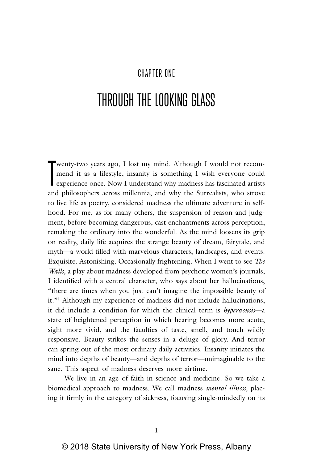# CHAP TER ONE THROUGH THE LOOKING GLASS

Wenty-two years ago, I lost my mind. Although I would not recommend it as a lifestyle, insanity is something I wish everyone could experience once. Now I understand why madness has fascinated artists wenty-two years ago, I lost my mind. Although I would not recommend it as a lifestyle, insanity is something I wish everyone could and philosophers across millennia, and why the Surrealists, who strove to live life as poetry, considered madness the ultimate adventure in selfhood. For me, as for many others, the suspension of reason and judgment, before becoming dangerous, cast enchantments across perception, remaking the ordinary into the wonderful. As the mind loosens its grip on reality, daily life acquires the strange beauty of dream, fairytale, and myth—a world filled with marvelous characters, landscapes, and events. Exquisite. Astonishing. Occasionally frightening. When I went to see *The Walls*, a play about madness developed from psychotic women's journals, I identified with a central character, who says about her hallucinations, "there are times when you just can't imagine the impossible beauty of it."1 Although my experience of madness did not include hallucinations, it did include a condition for which the clinical term is *hyperacusis*—a state of heightened perception in which hearing becomes more acute, sight more vivid, and the faculties of taste, smell, and touch wildly responsive. Beauty strikes the senses in a deluge of glory. And terror can spring out of the most ordinary daily activities. Insanity initiates the mind into depths of beauty—and depths of terror—unimaginable to the sane. This aspect of madness deserves more airtime.

We live in an age of faith in science and medicine. So we take a biomedical approach to madness. We call madness *mental illness*, placing it firmly in the category of sickness, focusing single-mindedly on its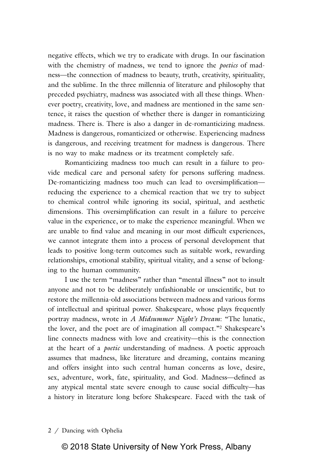negative effects, which we try to eradicate with drugs. In our fascination with the chemistry of madness, we tend to ignore the *poetics* of madness—the connection of madness to beauty, truth, creativity, spirituality, and the sublime. In the three millennia of literature and philosophy that preceded psychiatry, madness was associated with all these things. Whenever poetry, creativity, love, and madness are mentioned in the same sentence, it raises the question of whether there is danger in romanticizing madness. There is. There is also a danger in de-romanticizing madness. Madness is dangerous, romanticized or otherwise. Experiencing madness is dangerous, and receiving treatment for madness is dangerous. There is no way to make madness or its treatment completely safe.

Romanticizing madness too much can result in a failure to provide medical care and personal safety for persons suffering madness. De-romanticizing madness too much can lead to oversimplification reducing the experience to a chemical reaction that we try to subject to chemical control while ignoring its social, spiritual, and aesthetic dimensions. This oversimplification can result in a failure to perceive value in the experience, or to make the experience meaningful. When we are unable to find value and meaning in our most difficult experiences, we cannot integrate them into a process of personal development that leads to positive long-term outcomes such as suitable work, rewarding relationships, emotional stability, spiritual vitality, and a sense of belonging to the human community.

I use the term "madness" rather than "mental illness" not to insult anyone and not to be deliberately unfashionable or unscientific, but to restore the millennia-old associations between madness and various forms of intellectual and spiritual power. Shakespeare, whose plays frequently portray madness, wrote in *A Midsummer Night's Dream*: "The lunatic, the lover, and the poet are of imagination all compact."2 Shakespeare's line connects madness with love and creativity—this is the connection at the heart of a *poetic* understanding of madness. A poetic approach assumes that madness, like literature and dreaming, contains meaning and offers insight into such central human concerns as love, desire, sex, adventure, work, fate, spirituality, and God. Madness—defined as any atypical mental state severe enough to cause social difficulty—has a history in literature long before Shakespeare. Faced with the task of

2 / Dancing with Ophelia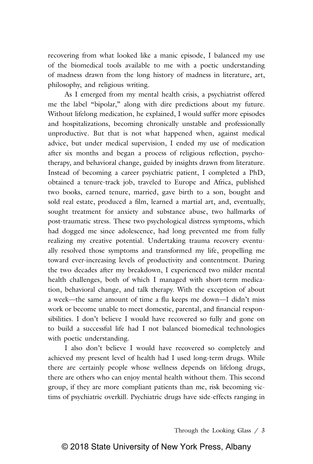recovering from what looked like a manic episode, I balanced my use of the biomedical tools available to me with a poetic understanding of madness drawn from the long history of madness in literature, art, philosophy, and religious writing.

As I emerged from my mental health crisis, a psychiatrist offered me the label "bipolar," along with dire predictions about my future. Without lifelong medication, he explained, I would suffer more episodes and hospitalizations, becoming chronically unstable and professionally unproductive. But that is not what happened when, against medical advice, but under medical supervision, I ended my use of medication after six months and began a process of religious reflection, psychotherapy, and behavioral change, guided by insights drawn from literature. Instead of becoming a career psychiatric patient, I completed a PhD, obtained a tenure-track job, traveled to Europe and Africa, published two books, earned tenure, married, gave birth to a son, bought and sold real estate, produced a film, learned a martial art, and, eventually, sought treatment for anxiety and substance abuse, two hallmarks of post-traumatic stress. These two psychological distress symptoms, which had dogged me since adolescence, had long prevented me from fully realizing my creative potential. Undertaking trauma recovery eventually resolved those symptoms and transformed my life, propelling me toward ever-increasing levels of productivity and contentment. During the two decades after my breakdown, I experienced two milder mental health challenges, both of which I managed with short-term medication, behavioral change, and talk therapy. With the exception of about a week—the same amount of time a flu keeps me down—I didn't miss work or become unable to meet domestic, parental, and financial responsibilities. I don't believe I would have recovered so fully and gone on to build a successful life had I not balanced biomedical technologies with poetic understanding.

I also don't believe I would have recovered so completely and achieved my present level of health had I used long-term drugs. While there are certainly people whose wellness depends on lifelong drugs, there are others who can enjoy mental health without them. This second group, if they are more compliant patients than me, risk becoming victims of psychiatric overkill. Psychiatric drugs have side-effects ranging in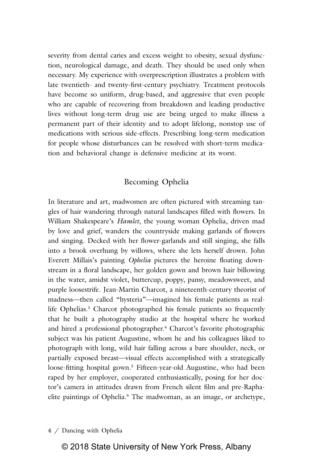severity from dental caries and excess weight to obesity, sexual dysfunction, neurological damage, and death. They should be used only when necessary. My experience with overprescription illustrates a problem with late twentieth- and twenty-first-century psychiatry. Treatment protocols have become so uniform, drug-based, and aggressive that even people who are capable of recovering from breakdown and leading productive lives without long-term drug use are being urged to make illness a permanent part of their identity and to adopt lifelong, nonstop use of medications with serious side-effects. Prescribing long-term medication for people whose disturbances can be resolved with short-term medication and behavioral change is defensive medicine at its worst.

### Becoming Ophelia

In literature and art, madwomen are often pictured with streaming tangles of hair wandering through natural landscapes filled with flowers. In William Shakespeare's *Hamlet*, the young woman Ophelia, driven mad by love and grief, wanders the countryside making garlands of flowers and singing. Decked with her flower-garlands and still singing, she falls into a brook overhung by willows, where she lets herself drown. John Everett Millais's painting *Ophelia* pictures the heroine floating downstream in a floral landscape, her golden gown and brown hair billowing in the water, amidst violet, buttercup, poppy, pansy, meadowsweet, and purple loosestrife. Jean-Martin Charcot, a nineteenth-century theorist of madness—then called "hysteria"—imagined his female patients as reallife Ophelias.<sup>3</sup> Charcot photographed his female patients so frequently that he built a photography studio at the hospital where he worked and hired a professional photographer.4 Charcot's favorite photographic subject was his patient Augustine, whom he and his colleagues liked to photograph with long, wild hair falling across a bare shoulder, neck, or partially exposed breast—visual effects accomplished with a strategically loose-fitting hospital gown.<sup>5</sup> Fifteen-year-old Augustine, who had been raped by her employer, cooperated enthusiastically, posing for her doctor's camera in attitudes drawn from French silent film and pre-Raphaelite paintings of Ophelia.<sup>6</sup> The madwoman, as an image, or archetype,

4 / Dancing with Ophelia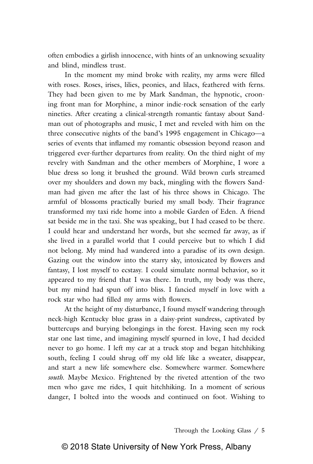often embodies a girlish innocence, with hints of an unknowing sexuality and blind, mindless trust.

In the moment my mind broke with reality, my arms were filled with roses. Roses, irises, lilies, peonies, and lilacs, feathered with ferns. They had been given to me by Mark Sandman, the hypnotic, crooning front man for Morphine, a minor indie-rock sensation of the early nineties. After creating a clinical-strength romantic fantasy about Sandman out of photographs and music, I met and reveled with him on the three consecutive nights of the band's 1995 engagement in Chicago—a series of events that inflamed my romantic obsession beyond reason and triggered ever-further departures from reality. On the third night of my revelry with Sandman and the other members of Morphine, I wore a blue dress so long it brushed the ground. Wild brown curls streamed over my shoulders and down my back, mingling with the flowers Sandman had given me after the last of his three shows in Chicago. The armful of blossoms practically buried my small body. Their fragrance transformed my taxi ride home into a mobile Garden of Eden. A friend sat beside me in the taxi. She was speaking, but I had ceased to be there. I could hear and understand her words, but she seemed far away, as if she lived in a parallel world that I could perceive but to which I did not belong. My mind had wandered into a paradise of its own design. Gazing out the window into the starry sky, intoxicated by flowers and fantasy, I lost myself to ecstasy. I could simulate normal behavior, so it appeared to my friend that I was there. In truth, my body was there, but my mind had spun off into bliss. I fancied myself in love with a rock star who had filled my arms with flowers.

At the height of my disturbance, I found myself wandering through neck-high Kentucky blue grass in a daisy-print sundress, captivated by buttercups and burying belongings in the forest. Having seen my rock star one last time, and imagining myself spurned in love, I had decided never to go home. I left my car at a truck stop and began hitchhiking south, feeling I could shrug off my old life like a sweater, disappear, and start a new life somewhere else. Somewhere warmer. Somewhere *south*. Maybe Mexico. Frightened by the riveted attention of the two men who gave me rides, I quit hitchhiking. In a moment of serious danger, I bolted into the woods and continued on foot. Wishing to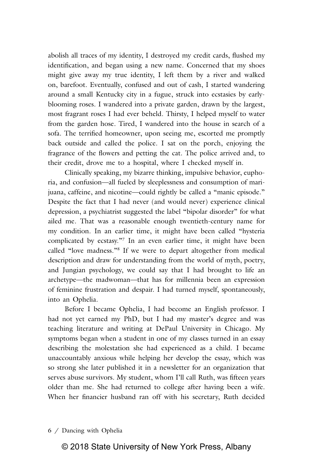abolish all traces of my identity, I destroyed my credit cards, flushed my identification, and began using a new name. Concerned that my shoes might give away my true identity, I left them by a river and walked on, barefoot. Eventually, confused and out of cash, I started wandering around a small Kentucky city in a fugue, struck into ecstasies by earlyblooming roses. I wandered into a private garden, drawn by the largest, most fragrant roses I had ever beheld. Thirsty, I helped myself to water from the garden hose. Tired, I wandered into the house in search of a sofa. The terrified homeowner, upon seeing me, escorted me promptly back outside and called the police. I sat on the porch, enjoying the fragrance of the flowers and petting the cat. The police arrived and, to their credit, drove me to a hospital, where I checked myself in.

Clinically speaking, my bizarre thinking, impulsive behavior, euphoria, and confusion—all fueled by sleeplessness and consumption of marijuana, caffeine, and nicotine—could rightly be called a "manic episode." Despite the fact that I had never (and would never) experience clinical depression, a psychiatrist suggested the label "bipolar disorder" for what ailed me. That was a reasonable enough twentieth-century name for my condition. In an earlier time, it might have been called "hysteria complicated by ecstasy."7 In an even earlier time, it might have been called "love madness."8 If we were to depart altogether from medical description and draw for understanding from the world of myth, poetry, and Jungian psychology, we could say that I had brought to life an archetype—the madwoman—that has for millennia been an expression of feminine frustration and despair. I had turned myself, spontaneously, into an Ophelia.

Before I became Ophelia, I had become an English professor. I had not yet earned my PhD, but I had my master's degree and was teaching literature and writing at DePaul University in Chicago. My symptoms began when a student in one of my classes turned in an essay describing the molestation she had experienced as a child. I became unaccountably anxious while helping her develop the essay, which was so strong she later published it in a newsletter for an organization that serves abuse survivors. My student, whom I'll call Ruth, was fifteen years older than me. She had returned to college after having been a wife. When her financier husband ran off with his secretary, Ruth decided

6 / Dancing with Ophelia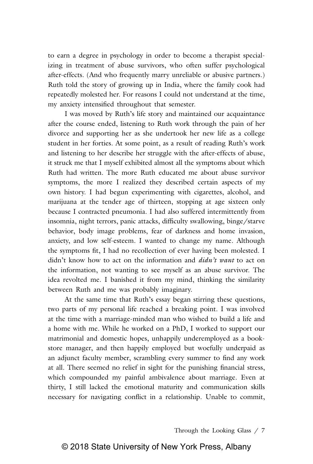to earn a degree in psychology in order to become a therapist specializing in treatment of abuse survivors, who often suffer psychological after-effects. (And who frequently marry unreliable or abusive partners.) Ruth told the story of growing up in India, where the family cook had repeatedly molested her. For reasons I could not understand at the time, my anxiety intensified throughout that semester.

I was moved by Ruth's life story and maintained our acquaintance after the course ended, listening to Ruth work through the pain of her divorce and supporting her as she undertook her new life as a college student in her forties. At some point, as a result of reading Ruth's work and listening to her describe her struggle with the after-effects of abuse, it struck me that I myself exhibited almost all the symptoms about which Ruth had written. The more Ruth educated me about abuse survivor symptoms, the more I realized they described certain aspects of my own history. I had begun experimenting with cigarettes, alcohol, and marijuana at the tender age of thirteen, stopping at age sixteen only because I contracted pneumonia. I had also suffered intermittently from insomnia, night terrors, panic attacks, difficulty swallowing, binge/starve behavior, body image problems, fear of darkness and home invasion, anxiety, and low self-esteem. I wanted to change my name. Although the symptoms fit, I had no recollection of ever having been molested. I didn't know how to act on the information and *didn't want* to act on the information, not wanting to see myself as an abuse survivor. The idea revolted me. I banished it from my mind, thinking the similarity between Ruth and me was probably imaginary.

At the same time that Ruth's essay began stirring these questions, two parts of my personal life reached a breaking point. I was involved at the time with a marriage-minded man who wished to build a life and a home with me. While he worked on a PhD, I worked to support our matrimonial and domestic hopes, unhappily underemployed as a bookstore manager, and then happily employed but woefully underpaid as an adjunct faculty member, scrambling every summer to find any work at all. There seemed no relief in sight for the punishing financial stress, which compounded my painful ambivalence about marriage. Even at thirty, I still lacked the emotional maturity and communication skills necessary for navigating conflict in a relationship. Unable to commit,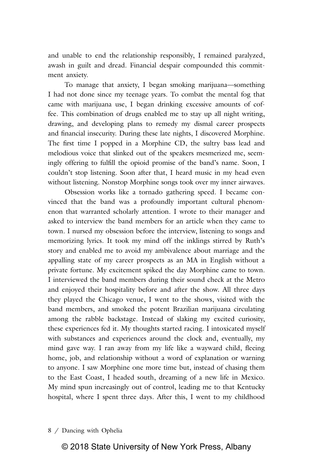and unable to end the relationship responsibly, I remained paralyzed, awash in guilt and dread. Financial despair compounded this commitment anxiety.

To manage that anxiety, I began smoking marijuana—something I had not done since my teenage years. To combat the mental fog that came with marijuana use, I began drinking excessive amounts of coffee. This combination of drugs enabled me to stay up all night writing, drawing, and developing plans to remedy my dismal career prospects and financial insecurity. During these late nights, I discovered Morphine. The first time I popped in a Morphine CD, the sultry bass lead and melodious voice that slinked out of the speakers mesmerized me, seemingly offering to fulfill the opioid promise of the band's name. Soon, I couldn't stop listening. Soon after that, I heard music in my head even without listening. Nonstop Morphine songs took over my inner airwaves.

Obsession works like a tornado gathering speed. I became convinced that the band was a profoundly important cultural phenomenon that warranted scholarly attention. I wrote to their manager and asked to interview the band members for an article when they came to town. I nursed my obsession before the interview, listening to songs and memorizing lyrics. It took my mind off the inklings stirred by Ruth's story and enabled me to avoid my ambivalence about marriage and the appalling state of my career prospects as an MA in English without a private fortune. My excitement spiked the day Morphine came to town. I interviewed the band members during their sound check at the Metro and enjoyed their hospitality before and after the show. All three days they played the Chicago venue, I went to the shows, visited with the band members, and smoked the potent Brazilian marijuana circulating among the rabble backstage. Instead of slaking my excited curiosity, these experiences fed it. My thoughts started racing. I intoxicated myself with substances and experiences around the clock and, eventually, my mind gave way. I ran away from my life like a wayward child, fleeing home, job, and relationship without a word of explanation or warning to anyone. I saw Morphine one more time but, instead of chasing them to the East Coast, I headed south, dreaming of a new life in Mexico. My mind spun increasingly out of control, leading me to that Kentucky hospital, where I spent three days. After this, I went to my childhood

8 / Dancing with Ophelia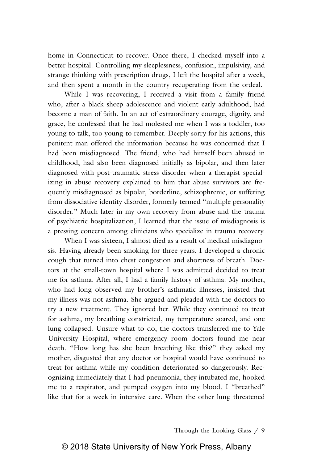home in Connecticut to recover. Once there, I checked myself into a better hospital. Controlling my sleeplessness, confusion, impulsivity, and strange thinking with prescription drugs, I left the hospital after a week, and then spent a month in the country recuperating from the ordeal.

While I was recovering, I received a visit from a family friend who, after a black sheep adolescence and violent early adulthood, had become a man of faith. In an act of extraordinary courage, dignity, and grace, he confessed that he had molested me when I was a toddler, too young to talk, too young to remember. Deeply sorry for his actions, this penitent man offered the information because he was concerned that I had been misdiagnosed. The friend, who had himself been abused in childhood, had also been diagnosed initially as bipolar, and then later diagnosed with post-traumatic stress disorder when a therapist specializing in abuse recovery explained to him that abuse survivors are frequently misdiagnosed as bipolar, borderline, schizophrenic, or suffering from dissociative identity disorder, formerly termed "multiple personality disorder." Much later in my own recovery from abuse and the trauma of psychiatric hospitalization, I learned that the issue of misdiagnosis is a pressing concern among clinicians who specialize in trauma recovery.

When I was sixteen, I almost died as a result of medical misdiagnosis. Having already been smoking for three years, I developed a chronic cough that turned into chest congestion and shortness of breath. Doctors at the small-town hospital where I was admitted decided to treat me for asthma. After all, I had a family history of asthma. My mother, who had long observed my brother's asthmatic illnesses, insisted that my illness was not asthma. She argued and pleaded with the doctors to try a new treatment. They ignored her. While they continued to treat for asthma, my breathing constricted, my temperature soared, and one lung collapsed. Unsure what to do, the doctors transferred me to Yale University Hospital, where emergency room doctors found me near death. "How long has she been breathing like this?" they asked my mother, disgusted that any doctor or hospital would have continued to treat for asthma while my condition deteriorated so dangerously. Recognizing immediately that I had pneumonia, they intubated me, hooked me to a respirator, and pumped oxygen into my blood. I "breathed" like that for a week in intensive care. When the other lung threatened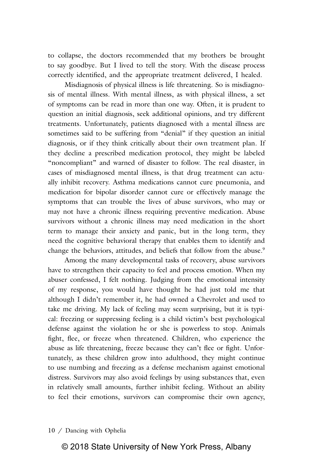to collapse, the doctors recommended that my brothers be brought to say goodbye. But I lived to tell the story. With the disease process correctly identified, and the appropriate treatment delivered, I healed.

Misdiagnosis of physical illness is life threatening. So is misdiagnosis of mental illness. With mental illness, as with physical illness, a set of symptoms can be read in more than one way. Often, it is prudent to question an initial diagnosis, seek additional opinions, and try different treatments. Unfortunately, patients diagnosed with a mental illness are sometimes said to be suffering from "denial" if they question an initial diagnosis, or if they think critically about their own treatment plan. If they decline a prescribed medication protocol, they might be labeled "noncompliant" and warned of disaster to follow. The real disaster, in cases of misdiagnosed mental illness, is that drug treatment can actually inhibit recovery. Asthma medications cannot cure pneumonia, and medication for bipolar disorder cannot cure or effectively manage the symptoms that can trouble the lives of abuse survivors, who may or may not have a chronic illness requiring preventive medication. Abuse survivors without a chronic illness may need medication in the short term to manage their anxiety and panic, but in the long term, they need the cognitive behavioral therapy that enables them to identify and change the behaviors, attitudes, and beliefs that follow from the abuse.<sup>9</sup>

Among the many developmental tasks of recovery, abuse survivors have to strengthen their capacity to feel and process emotion. When my abuser confessed, I felt nothing. Judging from the emotional intensity of my response, you would have thought he had just told me that although I didn't remember it, he had owned a Chevrolet and used to take me driving. My lack of feeling may seem surprising, but it is typical: freezing or suppressing feeling is a child victim's best psychological defense against the violation he or she is powerless to stop. Animals fight, flee, or freeze when threatened. Children, who experience the abuse as life threatening, freeze because they can't flee or fight. Unfortunately, as these children grow into adulthood, they might continue to use numbing and freezing as a defense mechanism against emotional distress. Survivors may also avoid feelings by using substances that, even in relatively small amounts, further inhibit feeling. Without an ability to feel their emotions, survivors can compromise their own agency,

10 / Dancing with Ophelia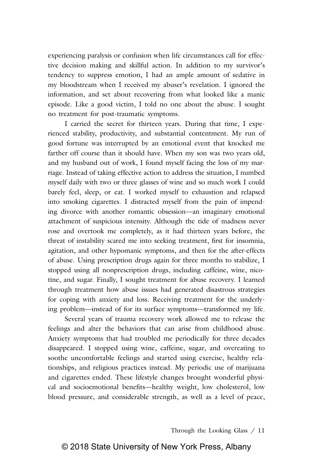experiencing paralysis or confusion when life circumstances call for effective decision making and skillful action. In addition to my survivor's tendency to suppress emotion, I had an ample amount of sedative in my bloodstream when I received my abuser's revelation. I ignored the information, and set about recovering from what looked like a manic episode. Like a good victim, I told no one about the abuse. I sought no treatment for post-traumatic symptoms.

I carried the secret for thirteen years. During that time, I experienced stability, productivity, and substantial contentment. My run of good fortune was interrupted by an emotional event that knocked me farther off course than it should have. When my son was two years old, and my husband out of work, I found myself facing the loss of my marriage. Instead of taking effective action to address the situation, I numbed myself daily with two or three glasses of wine and so much work I could barely feel, sleep, or eat. I worked myself to exhaustion and relapsed into smoking cigarettes. I distracted myself from the pain of impending divorce with another romantic obsession—an imaginary emotional attachment of suspicious intensity. Although the tide of madness never rose and overtook me completely, as it had thirteen years before, the threat of instability scared me into seeking treatment, first for insomnia, agitation, and other hypomanic symptoms, and then for the after-effects of abuse. Using prescription drugs again for three months to stabilize, I stopped using all nonprescription drugs, including caffeine, wine, nicotine, and sugar. Finally, I sought treatment for abuse recovery. I learned through treatment how abuse issues had generated disastrous strategies for coping with anxiety and loss. Receiving treatment for the underlying problem—instead of for its surface symptoms—transformed my life.

Several years of trauma recovery work allowed me to release the feelings and alter the behaviors that can arise from childhood abuse. Anxiety symptoms that had troubled me periodically for three decades disappeared. I stopped using wine, caffeine, sugar, and overeating to soothe uncomfortable feelings and started using exercise, healthy relationships, and religious practices instead. My periodic use of marijuana and cigarettes ended. These lifestyle changes brought wonderful physical and socioemotional benefits—healthy weight, low cholesterol, low blood pressure, and considerable strength, as well as a level of peace,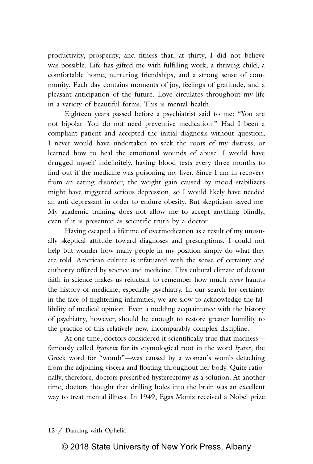productivity, prosperity, and fitness that, at thirty, I did not believe was possible. Life has gifted me with fulfilling work, a thriving child, a comfortable home, nurturing friendships, and a strong sense of community. Each day contains moments of joy, feelings of gratitude, and a pleasant anticipation of the future. Love circulates throughout my life in a variety of beautiful forms. This is mental health.

Eighteen years passed before a psychiatrist said to me: "You are not bipolar. You do not need preventive medication." Had I been a compliant patient and accepted the initial diagnosis without question, I never would have undertaken to seek the roots of my distress, or learned how to heal the emotional wounds of abuse. I would have drugged myself indefinitely, having blood tests every three months to find out if the medicine was poisoning my liver. Since I am in recovery from an eating disorder, the weight gain caused by mood stabilizers might have triggered serious depression, so I would likely have needed an anti-depressant in order to endure obesity. But skepticism saved me. My academic training does not allow me to accept anything blindly, even if it is presented as scientific truth by a doctor.

Having escaped a lifetime of overmedication as a result of my unusually skeptical attitude toward diagnoses and prescriptions, I could not help but wonder how many people in my position simply do what they are told. American culture is infatuated with the sense of certainty and authority offered by science and medicine. This cultural climate of devout faith in science makes us reluctant to remember how much *error* haunts the history of medicine, especially psychiatry. In our search for certainty in the face of frightening infirmities, we are slow to acknowledge the fallibility of medical opinion. Even a nodding acquaintance with the history of psychiatry, however, should be enough to restore greater humility to the practice of this relatively new, incomparably complex discipline.

At one time, doctors considered it scientifically true that madness famously called *hysteria* for its etymological root in the word *hyster*, the Greek word for "womb"—was caused by a woman's womb detaching from the adjoining viscera and floating throughout her body. Quite rationally, therefore, doctors prescribed hysterectomy as a solution. At another time, doctors thought that drilling holes into the brain was an excellent way to treat mental illness. In 1949, Egas Moniz received a Nobel prize

12 / Dancing with Ophelia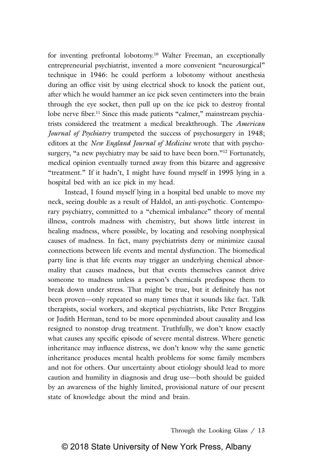for inventing prefrontal lobotomy.<sup>10</sup> Walter Freeman, an exceptionally entrepreneurial psychiatrist, invented a more convenient "neurosurgical" technique in 1946: he could perform a lobotomy without anesthesia during an office visit by using electrical shock to knock the patient out, after which he would hammer an ice pick seven centimeters into the brain through the eye socket, then pull up on the ice pick to destroy frontal lobe nerve fiber.<sup>11</sup> Since this made patients "calmer," mainstream psychiatrists considered the treatment a medical breakthrough. The *American Journal of Psychiatry* trumpeted the success of psychosurgery in 1948; editors at the *New England Journal of Medicine* wrote that with psychosurgery, "a new psychiatry may be said to have been born."<sup>12</sup> Fortunately, medical opinion eventually turned away from this bizarre and aggressive "treatment." If it hadn't, I might have found myself in 1995 lying in a hospital bed with an ice pick in my head.

Instead, I found myself lying in a hospital bed unable to move my neck, seeing double as a result of Haldol, an anti-psychotic. Contemporary psychiatry, committed to a "chemical imbalance" theory of mental illness, controls madness with chemistry, but shows little interest in healing madness, where possible, by locating and resolving nonphysical causes of madness. In fact, many psychiatrists deny or minimize causal connections between life events and mental dysfunction. The biomedical party line is that life events may trigger an underlying chemical abnormality that causes madness, but that events themselves cannot drive someone to madness unless a person's chemicals predispose them to break down under stress. That might be true, but it definitely has not been proven—only repeated so many times that it sounds like fact. Talk therapists, social workers, and skeptical psychiatrists, like Peter Breggins or Judith Herman, tend to be more openminded about causality and less resigned to nonstop drug treatment. Truthfully, we don't know exactly what causes any specific episode of severe mental distress. Where genetic inheritance may influence distress, we don't know why the same genetic inheritance produces mental health problems for some family members and not for others. Our uncertainty about etiology should lead to more caution and humility in diagnosis and drug use—both should be guided by an awareness of the highly limited, provisional nature of our present state of knowledge about the mind and brain.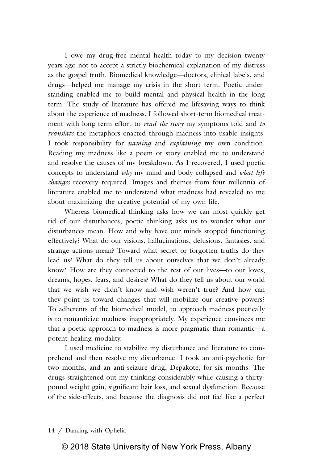I owe my drug-free mental health today to my decision twenty years ago not to accept a strictly biochemical explanation of my distress as the gospel truth. Biomedical knowledge—doctors, clinical labels, and drugs—helped me manage my crisis in the short term. Poetic understanding enabled me to build mental and physical health in the long term. The study of literature has offered me lifesaving ways to think about the experience of madness. I followed short-term biomedical treatment with long-term effort to *read the story* my symptoms told and *to translate* the metaphors enacted through madness into usable insights. I took responsibility for *naming* and *explaining* my own condition. Reading my madness like a poem or story enabled me to understand and resolve the causes of my breakdown. As I recovered, I used poetic concepts to understand *why* my mind and body collapsed and *what life changes* recovery required. Images and themes from four millennia of literature enabled me to understand what madness had revealed to me about maximizing the creative potential of my own life.

Whereas biomedical thinking asks how we can most quickly get rid of our disturbances, poetic thinking asks us to wonder what our disturbances mean. How and why have our minds stopped functioning effectively? What do our visions, hallucinations, delusions, fantasies, and strange actions mean? Toward what secret or forgotten truths do they lead us? What do they tell us about ourselves that we don't already know? How are they connected to the rest of our lives—to our loves, dreams, hopes, fears, and desires? What do they tell us about our world that we wish we didn't know and wish weren't true? And how can they point us toward changes that will mobilize our creative powers? To adherents of the biomedical model, to approach madness poetically is to romanticize madness inappropriately. My experience convinces me that a poetic approach to madness is more pragmatic than romantic—a potent healing modality.

I used medicine to stabilize my disturbance and literature to comprehend and then resolve my disturbance. I took an anti-psychotic for two months, and an anti-seizure drug, Depakote, for six months. The drugs straightened out my thinking considerably while causing a thirtypound weight gain, significant hair loss, and sexual dysfunction. Because of the side-effects, and because the diagnosis did not feel like a perfect

14 / Dancing with Ophelia